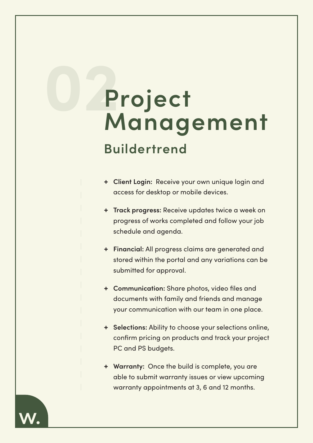## **Project Management 02**

## **Buildertrend**

- **+ Client Login:** Receive your own unique login and access for desktop or mobile devices.
- **+ Track progress:** Receive updates twice a week on progress of works completed and follow your job schedule and agenda.
- **+ Financial:** All progress claims are generated and stored within the portal and any variations can be submitted for approval.
- **+ Communication:** Share photos, video files and documents with family and friends and manage your communication with our team in one place.
- **+ Selections:** Ability to choose your selections online, confirm pricing on products and track your project PC and PS budgets.
- **+ Warranty:** Once the build is complete, you are able to submit warranty issues or view upcoming warranty appointments at 3, 6 and 12 months.